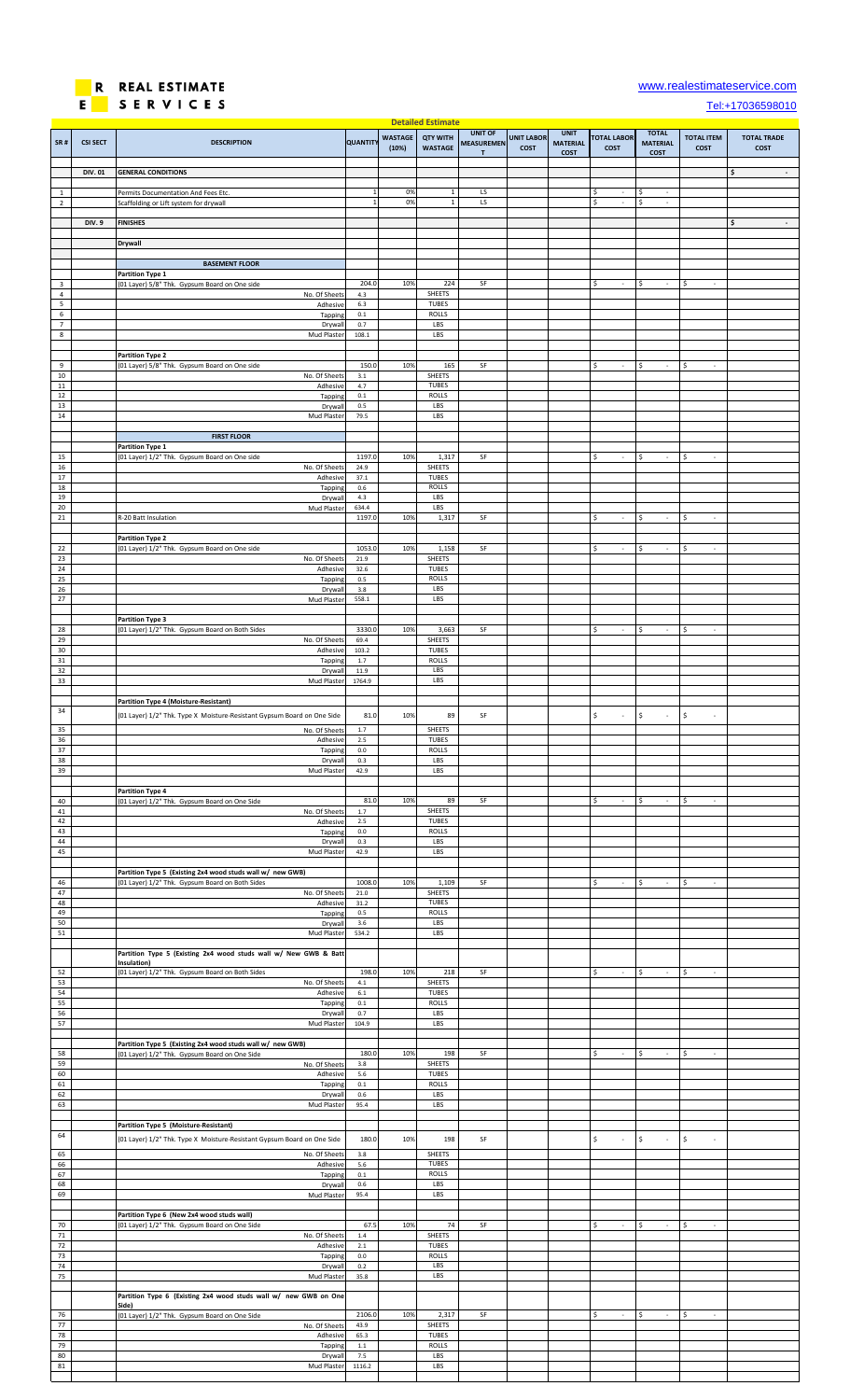

## [w](http://www.realestimateservice.com/)ww.realestimateservice.com

[T](tel:+17036598010)el:+17036598010

| SR#                 | <b>CSI SECT</b> | <b>DESCRIPTION</b>                                                                                                           | <b>QUANTIT</b>            | <b>WASTAGE</b><br>(10%) | <b>Detailed Estimate</b><br><b>QTY WITH</b><br><b>WASTAGE</b> | <b>UNIT OF</b><br><b>MEASUREMEN</b><br>T | <b>UNIT LABOR</b><br>COST | <b>UNIT</b><br><b>MATERIAL</b><br>COST | <b>TOTAL LABOR</b><br><b>COST</b> | <b>TOTAL</b><br><b>MATERIAL</b><br>COST | <b>TOTAL ITEM</b><br>COST         | <b>TOTAL TRADE</b><br><b>COST</b> |
|---------------------|-----------------|------------------------------------------------------------------------------------------------------------------------------|---------------------------|-------------------------|---------------------------------------------------------------|------------------------------------------|---------------------------|----------------------------------------|-----------------------------------|-----------------------------------------|-----------------------------------|-----------------------------------|
| $\mathbf{1}$        | <b>DIV.01</b>   | <b>GENERAL CONDITIONS</b><br>Permits Documentation And Fees Etc.                                                             |                           | 0%                      | $\mathbf{1}$                                                  | LS                                       |                           |                                        | \$                                | \$<br>÷,                                |                                   | \$<br>$\blacksquare$              |
| $\overline{2}$      |                 | Scaffolding or Lift system for drywall                                                                                       |                           | 0%                      | $\mathbf{1}$                                                  | LS                                       |                           |                                        | \$                                | \$<br>$\sim$                            |                                   |                                   |
|                     | <b>DIV.9</b>    | <b>FINISHES</b>                                                                                                              |                           |                         |                                                               |                                          |                           |                                        |                                   |                                         |                                   | \$<br>$\sim$                      |
|                     |                 | <b>Drywall</b>                                                                                                               |                           |                         |                                                               |                                          |                           |                                        |                                   |                                         |                                   |                                   |
| 3                   |                 | <b>BASEMENT FLOOR</b><br><b>Partition Type 1</b>                                                                             | 204.0                     | 10%                     | 224                                                           | SF                                       |                           |                                        | Ŝ.                                |                                         | Ś                                 |                                   |
| $\overline{4}$<br>5 |                 | (01 Layer) 5/8" Thk. Gypsum Board on One side<br>No. Of Sheets<br>Adhesive                                                   | 4.3<br>6.3                |                         | SHEETS<br>TUBES                                               |                                          |                           |                                        |                                   |                                         |                                   |                                   |
| 6<br>$\overline{7}$ |                 | Tapping<br>Drywal                                                                                                            | $0.1\,$<br>0.7            |                         | <b>ROLLS</b><br>LBS                                           |                                          |                           |                                        |                                   |                                         |                                   |                                   |
| $\bf 8$             |                 | Mud Plaster                                                                                                                  | 108.1                     |                         | LBS                                                           |                                          |                           |                                        |                                   |                                         |                                   |                                   |
| 9                   |                 | <b>Partition Type 2</b><br>(01 Layer) 5/8" Thk. Gypsum Board on One side                                                     | 150.0                     | 10%                     | 165                                                           | SF                                       |                           |                                        | \$<br>$\sim$                      | \$<br>$\overline{\phantom{a}}$          | Ś<br>$\epsilon$                   |                                   |
| $10\,$<br>$11\,$    |                 | No. Of Sheets<br>Adhesive                                                                                                    | $3.1\,$<br>4.7            |                         | SHEETS<br>TUBES                                               |                                          |                           |                                        |                                   |                                         |                                   |                                   |
| 12<br>13            |                 | Tapping<br>Drywall                                                                                                           | $0.1\,$<br>0.5            |                         | <b>ROLLS</b><br>LBS<br>LBS                                    |                                          |                           |                                        |                                   |                                         |                                   |                                   |
| 14                  |                 | Mud Plaster<br><b>FIRST FLOOR</b>                                                                                            | 79.5                      |                         |                                                               |                                          |                           |                                        |                                   |                                         |                                   |                                   |
| 15                  |                 | Partition Type 1<br>(01 Layer) 1/2" Thk. Gypsum Board on One side                                                            | 1197.0                    | 10%                     | 1,317                                                         | SF                                       |                           |                                        | \$<br>$\sim$                      | \$<br>$\overline{\phantom{a}}$          | \$<br>$\sim$                      |                                   |
| $16\,$<br>17        |                 | No. Of Sheets<br>Adhesive                                                                                                    | 24.9<br>37.1              |                         | SHEETS<br>TUBES                                               |                                          |                           |                                        |                                   |                                         |                                   |                                   |
| 18<br>19            |                 | Tapping<br>Drywall                                                                                                           | $0.6\,$<br>4.3            |                         | <b>ROLLS</b><br>LBS                                           |                                          |                           |                                        |                                   |                                         |                                   |                                   |
| 20<br>21            |                 | Mud Plaster<br>R-20 Batt Insulation                                                                                          | 634.4<br>1197.0           | 10%                     | LBS<br>1,317                                                  | SF                                       |                           |                                        | Ś                                 | \$<br>$\sim$                            | \$<br>$\sim$                      |                                   |
|                     |                 | <b>Partition Type 2</b>                                                                                                      |                           |                         |                                                               |                                          |                           |                                        |                                   |                                         |                                   |                                   |
| 22<br>23            |                 | (01 Layer) 1/2" Thk. Gypsum Board on One side<br>No. Of Sheets                                                               | 1053.0<br>21.9            | 10%                     | 1,158<br>SHEETS                                               | SF                                       |                           |                                        | \$<br>$\sim$                      | \$<br>$\mathbb{Z}^+$                    | \$<br>$\sim$                      |                                   |
| 24<br>25<br>26      |                 | Adhesive<br>Tapping                                                                                                          | 32.6<br>0.5               |                         | <b>TUBES</b><br><b>ROLLS</b>                                  |                                          |                           |                                        |                                   |                                         |                                   |                                   |
| $27$                |                 | Drywal<br>Mud Plaster                                                                                                        | 3.8<br>558.1              |                         | LBS<br>LBS                                                    |                                          |                           |                                        |                                   |                                         |                                   |                                   |
| 28                  |                 | <b>Partition Type 3</b><br>(01 Layer) 1/2" Thk. Gypsum Board on Both Sides                                                   | 3330.0                    | 10%                     | 3,663                                                         | SF                                       |                           |                                        | \$<br>$\mathcal{L}$               | Ŝ.<br>$\mathcal{L}$                     | \$<br>$\mathcal{L}$               |                                   |
| 29<br>30            |                 | No. Of Sheets<br>Adhesive                                                                                                    | 69.4<br>103.2             |                         | SHEETS<br><b>TUBES</b>                                        |                                          |                           |                                        |                                   |                                         |                                   |                                   |
| 31<br>32            |                 | Tapping<br>Drywal                                                                                                            | 1.7<br>11.9               |                         | <b>ROLLS</b><br>LBS                                           |                                          |                           |                                        |                                   |                                         |                                   |                                   |
| 33                  |                 | Mud Plaster                                                                                                                  | 1764.9                    |                         | LBS                                                           |                                          |                           |                                        |                                   |                                         |                                   |                                   |
| 34                  |                 | Partition Type 4 (Moisture-Resistant)<br>(01 Layer) 1/2" Thk. Type X Moisture-Resistant Gypsum Board on One Side             | 81.0                      | 10%                     | 89                                                            | SF                                       |                           |                                        | \$                                | \$<br>÷,                                | \$<br>÷.                          |                                   |
| 35                  |                 | No. Of Sheets                                                                                                                | $1.7\,$                   |                         | SHEETS                                                        |                                          |                           |                                        |                                   |                                         |                                   |                                   |
| 36<br>37<br>38      |                 | Adhesive<br>Tapping<br>Drywall                                                                                               | $2.5\,$<br>$0.0\,$<br>0.3 |                         | <b>TUBES</b><br><b>ROLLS</b><br>LBS                           |                                          |                           |                                        |                                   |                                         |                                   |                                   |
| 39                  |                 | Mud Plaster                                                                                                                  | 42.9                      |                         | LBS                                                           |                                          |                           |                                        |                                   |                                         |                                   |                                   |
| 40                  |                 | <b>Partition Type 4</b><br>(01 Layer) 1/2" Thk. Gypsum Board on One Side                                                     | 81.0                      | 10%                     | 89                                                            | SF                                       |                           |                                        | Ŝ.                                | \$<br>$\sim$                            | \$<br>$\mathcal{L}_{\mathcal{A}}$ |                                   |
| 41<br>42            |                 | No. Of Sheets<br>Adhesive                                                                                                    | $1.7\,$<br>$2.5\,$        |                         | SHEETS<br><b>TUBES</b>                                        |                                          |                           |                                        |                                   |                                         |                                   |                                   |
| 43<br>$44\,$        |                 | Tapping<br>Drywall                                                                                                           | $0.0\,$<br>0.3            |                         | <b>ROLLS</b><br>LBS                                           |                                          |                           |                                        |                                   |                                         |                                   |                                   |
| 45                  |                 | Mud Plaster                                                                                                                  | 42.9                      |                         | LBS                                                           |                                          |                           |                                        |                                   |                                         |                                   |                                   |
| 46                  |                 | Partition Type 5 (Existing 2x4 wood studs wall w/ new GWB)<br>(01 Layer) 1/2" Thk. Gypsum Board on Both Sides                | 1008.0                    | 10%                     | 1,109                                                         | SF                                       |                           |                                        | \$<br>$\sim$                      | \$<br>$\sim$                            | \$<br>$\sim$                      |                                   |
| 47<br>48            |                 | No. Of Sheets<br>Adhesive                                                                                                    | 21.0<br>31.2              |                         | <b>SHEETS</b><br><b>TUBES</b>                                 |                                          |                           |                                        |                                   |                                         |                                   |                                   |
| 49<br>50<br>51      |                 | Tapping<br>Drywall                                                                                                           | 0.5<br>3.6<br>534.2       |                         | <b>ROLLS</b><br>LBS<br>LBS                                    |                                          |                           |                                        |                                   |                                         |                                   |                                   |
|                     |                 | Mud Plaster<br>Partition Type 5 (Existing 2x4 wood studs wall w/ New GWB & Batt                                              |                           |                         |                                                               |                                          |                           |                                        |                                   |                                         |                                   |                                   |
| 52                  |                 | Insulation)<br>(01 Layer) 1/2" Thk. Gypsum Board on Both Sides                                                               | 198.0                     | 10%                     | 218                                                           | SF                                       |                           |                                        | \$<br>$\sim$                      | \$<br>$\overline{\phantom{a}}$          | \$<br>$\overline{\phantom{a}}$    |                                   |
| 53<br>54            |                 | No. Of Sheets<br>Adhesive                                                                                                    | $4.1\,$<br>$6.1\,$        |                         | <b>SHEETS</b><br><b>TUBES</b>                                 |                                          |                           |                                        |                                   |                                         |                                   |                                   |
| 55<br>56            |                 | Tapping<br>Drywall                                                                                                           | $0.1\,$<br>0.7            |                         | <b>ROLLS</b><br>LBS                                           |                                          |                           |                                        |                                   |                                         |                                   |                                   |
| 57                  |                 | Mud Plaster                                                                                                                  | 104.9                     |                         | LBS                                                           |                                          |                           |                                        |                                   |                                         |                                   |                                   |
| 58<br>59            |                 | Partition Type 5 (Existing 2x4 wood studs wall w/ new GWB)<br>(01 Layer) 1/2" Thk. Gypsum Board on One Side<br>No. Of Sheets | 180.0<br>3.8              | 10%                     | 198<br><b>SHEETS</b>                                          | SF                                       |                           |                                        | $\sim$<br>Ŝ                       | $\sim$<br>.s                            | \$<br>$\sim$                      |                                   |
| 60<br>61            |                 | Adhesive                                                                                                                     | $5.6\,$<br>$0.1\,$        |                         | <b>TUBES</b><br><b>ROLLS</b>                                  |                                          |                           |                                        |                                   |                                         |                                   |                                   |
| 62<br>63            |                 | Tapping<br>Drywall<br>Mud Plaster                                                                                            | 0.6<br>95.4               |                         | LBS<br>LBS                                                    |                                          |                           |                                        |                                   |                                         |                                   |                                   |
|                     |                 | Partition Type 5 (Moisture-Resistant)                                                                                        |                           |                         |                                                               |                                          |                           |                                        |                                   |                                         |                                   |                                   |
| 64                  |                 | (01 Layer) 1/2" Thk. Type X Moisture-Resistant Gypsum Board on One Side                                                      | 180.0                     | 10%                     | 198                                                           | SF                                       |                           |                                        | \$                                | \$<br>$\overline{\phantom{a}}$          | \$<br>$\overline{\phantom{a}}$    |                                   |
| 65<br>66            |                 | No. Of Sheets<br>Adhesive                                                                                                    | 3.8<br>5.6                |                         | <b>SHEETS</b><br><b>TUBES</b>                                 |                                          |                           |                                        |                                   |                                         |                                   |                                   |
| 67<br>68            |                 | Tapping<br>Drywall                                                                                                           | $0.1\,$<br>0.6            |                         | <b>ROLLS</b><br>LBS                                           |                                          |                           |                                        |                                   |                                         |                                   |                                   |
| 69                  |                 | Mud Plaster                                                                                                                  | 95.4                      |                         | LBS                                                           |                                          |                           |                                        |                                   |                                         |                                   |                                   |
| 70<br>71            |                 | Partition Type 6 (New 2x4 wood studs wall)<br>(01 Layer) 1/2" Thk. Gypsum Board on One Side<br>No. Of Sheets                 | 67.5<br>1.4               | 10%                     | 74<br>SHEETS                                                  | SF                                       |                           |                                        | \$<br>$\sim$                      | \$<br>$\sim$                            | -\$<br>$\sim$                     |                                   |
| $72\,$<br>73        |                 | Adhesive<br>Tapping                                                                                                          | $2.1\,$<br>$0.0\,$        |                         | <b>TUBES</b><br><b>ROLLS</b>                                  |                                          |                           |                                        |                                   |                                         |                                   |                                   |
| 74<br>75            |                 | Drywall<br>Mud Plaster                                                                                                       | 0.2<br>35.8               |                         | LBS<br>LBS                                                    |                                          |                           |                                        |                                   |                                         |                                   |                                   |
|                     |                 | Partition Type 6 (Existing 2x4 wood studs wall w/ new GWB on One                                                             |                           |                         |                                                               |                                          |                           |                                        |                                   |                                         |                                   |                                   |
| 76                  |                 | Side)<br>(01 Layer) 1/2" Thk. Gypsum Board on One Side                                                                       | 2106.0                    | 10%                     | 2,317                                                         | SF                                       |                           |                                        | \$<br>$\sim$                      | \$<br>$\sim$                            | \$<br>$\sim$                      |                                   |
| $77$<br>78          |                 | No. Of Sheets<br>Adhesive                                                                                                    | 43.9<br>65.3              |                         | SHEETS<br><b>TUBES</b>                                        |                                          |                           |                                        |                                   |                                         |                                   |                                   |
| 79<br>80            |                 | Tapping<br>Drywall                                                                                                           | $1.1\,$<br>7.5            |                         | <b>ROLLS</b><br>LBS                                           |                                          |                           |                                        |                                   |                                         |                                   |                                   |
| 81                  |                 | Mud Plaster                                                                                                                  | 1116.2                    |                         | LBS                                                           |                                          |                           |                                        |                                   |                                         |                                   |                                   |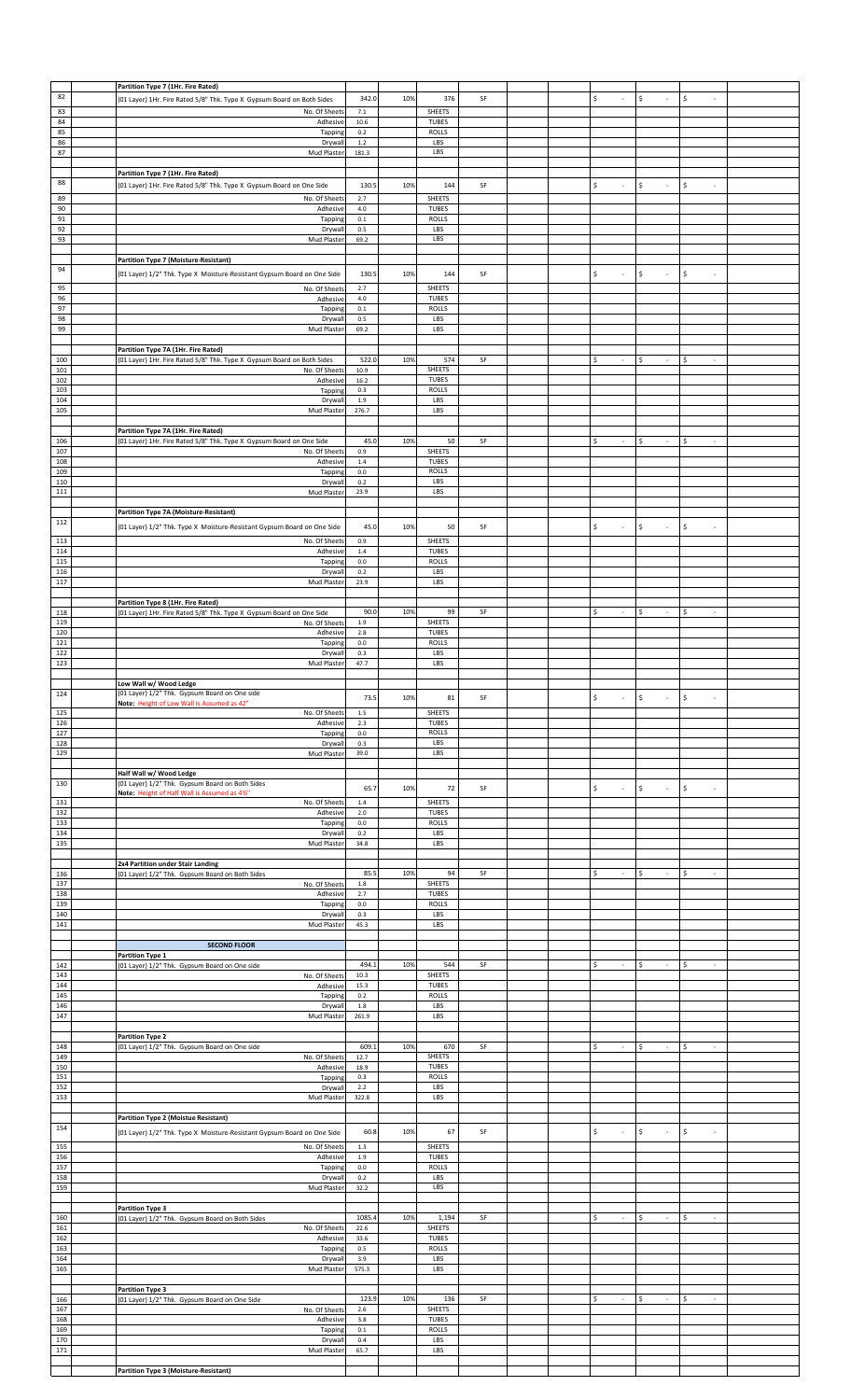|            | Partition Type 7 (1Hr. Fire Rated)                                                                          |                    |     |                               |    |  |                                |                                          |                                    |  |
|------------|-------------------------------------------------------------------------------------------------------------|--------------------|-----|-------------------------------|----|--|--------------------------------|------------------------------------------|------------------------------------|--|
| 82         | (01 Layer) 1Hr. Fire Rated 5/8" Thk. Type X Gypsum Board on Both Sides                                      | 342.0              | 10% | 376                           | SF |  | \$<br>×.                       | \$<br>×                                  | -\$<br>$\mathcal{L}_{\mathcal{A}}$ |  |
| 83         | No. Of Sheets                                                                                               | $7.1\,$            |     | SHEETS                        |    |  |                                |                                          |                                    |  |
| 84         | Adhesive                                                                                                    | 10.6               |     | <b>TUBES</b>                  |    |  |                                |                                          |                                    |  |
| 85<br>86   | Tapping<br>Drywall                                                                                          | $0.2\,$<br>$1.2\,$ |     | <b>ROLLS</b><br>LBS           |    |  |                                |                                          |                                    |  |
| 87         | Mud Plaster                                                                                                 | 181.3              |     | LBS                           |    |  |                                |                                          |                                    |  |
|            |                                                                                                             |                    |     |                               |    |  |                                |                                          |                                    |  |
|            | Partition Type 7 (1Hr. Fire Rated)                                                                          |                    |     |                               |    |  |                                |                                          |                                    |  |
| 88         | (01 Layer) 1Hr. Fire Rated 5/8" Thk. Type X Gypsum Board on One Side                                        | 130.5              | 10% | 144                           | SF |  | \$<br>$\sim$                   | \$<br>×                                  | \$<br>$\sim$                       |  |
| 89         | No. Of Sheets                                                                                               | 2.7                |     | SHEETS                        |    |  |                                |                                          |                                    |  |
| 90<br>91   | Adhesive                                                                                                    | 4.0<br>$0.1\,$     |     | <b>TUBES</b><br><b>ROLLS</b>  |    |  |                                |                                          |                                    |  |
| 92         | Tapping<br>Drywal                                                                                           | 0.5                |     | LBS                           |    |  |                                |                                          |                                    |  |
| 93         | Mud Plaster                                                                                                 | 69.2               |     | LBS                           |    |  |                                |                                          |                                    |  |
|            |                                                                                                             |                    |     |                               |    |  |                                |                                          |                                    |  |
| 94         | Partition Type 7 (Moisture-Resistant)                                                                       |                    |     |                               |    |  |                                |                                          |                                    |  |
|            | (01 Layer) 1/2" Thk. Type X Moisture-Resistant Gypsum Board on One Side                                     | 130.5              | 10% | 144                           | SF |  | \$<br>$\overline{\phantom{a}}$ | $\mathsf{S}$<br>$\bar{\phantom{a}}$      | \$                                 |  |
| 95         | No. Of Sheets                                                                                               | 2.7                |     | SHEETS                        |    |  |                                |                                          |                                    |  |
| 96<br>97   | Adhesive<br>Tapping                                                                                         | 4.0<br>0.1         |     | <b>TUBES</b><br><b>ROLLS</b>  |    |  |                                |                                          |                                    |  |
| 98         | Drywall                                                                                                     | 0.5                |     | LBS                           |    |  |                                |                                          |                                    |  |
| 99         | Mud Plaster                                                                                                 | 69.2               |     | LBS                           |    |  |                                |                                          |                                    |  |
|            | Partition Type 7A (1Hr. Fire Rated)                                                                         |                    |     |                               |    |  |                                |                                          |                                    |  |
| 100        | (01 Layer) 1Hr. Fire Rated 5/8" Thk. Type X Gypsum Board on Both Sides                                      | 522.0              | 10% | 574                           | SF |  | \$<br>$\sim$                   | \$<br>$\overline{\phantom{a}}$           | \$                                 |  |
| 101        | No. Of Sheet:                                                                                               | 10.9               |     | SHEETS                        |    |  |                                |                                          |                                    |  |
| 102<br>103 | Adhesive                                                                                                    | $16.2\,$           |     | <b>TUBES</b><br><b>ROLLS</b>  |    |  |                                |                                          |                                    |  |
| 104        | Tapping<br>Drywall                                                                                          | 0.3<br>$1.9\,$     |     | LBS                           |    |  |                                |                                          |                                    |  |
| 105        | Mud Plaster                                                                                                 | 276.7              |     | LBS                           |    |  |                                |                                          |                                    |  |
|            |                                                                                                             |                    |     |                               |    |  |                                |                                          |                                    |  |
| 106        | Partition Type 7A (1Hr. Fire Rated)<br>(01 Layer) 1Hr. Fire Rated 5/8" Thk. Type X Gypsum Board on One Side | 45.0               | 10% | 50                            | SF |  | \$<br>$\sim$                   | S.<br>$\mathcal{L}$                      | ∣\$<br>$\sim$                      |  |
| 107        | No. Of Sheets                                                                                               | 0.9                |     | <b>SHEETS</b>                 |    |  |                                |                                          |                                    |  |
| 108        | Adhesive                                                                                                    | $1.4\,$            |     | <b>TUBES</b>                  |    |  |                                |                                          |                                    |  |
| 109<br>110 | Tapping<br>Drywal                                                                                           | 0.0<br>0.2         |     | <b>ROLLS</b><br>LBS           |    |  |                                |                                          |                                    |  |
| 111        | Mud Plaster                                                                                                 | 23.9               |     | LBS                           |    |  |                                |                                          |                                    |  |
|            |                                                                                                             |                    |     |                               |    |  |                                |                                          |                                    |  |
|            | Partition Type 7A (Moisture-Resistant)                                                                      |                    |     |                               |    |  |                                |                                          |                                    |  |
| 112        | (01 Layer) 1/2" Thk. Type X Moisture-Resistant Gypsum Board on One Side                                     | 45.0               | 10% | 50                            | SF |  | \$                             | \$<br>$\overline{\phantom{a}}$           | \$<br>$\sim$                       |  |
| 113        | No. Of Sheets                                                                                               | 0.9                |     | SHEETS                        |    |  |                                |                                          |                                    |  |
| 114<br>115 | Adhesive                                                                                                    | 1.4                |     | TUBES                         |    |  |                                |                                          |                                    |  |
| 116        | Tapping<br>Drywall                                                                                          | $0.0\,$<br>$0.2\,$ |     | ROLLS<br>LBS                  |    |  |                                |                                          |                                    |  |
| 117        | Mud Plaster                                                                                                 | 23.9               |     | LBS                           |    |  |                                |                                          |                                    |  |
|            |                                                                                                             |                    |     |                               |    |  |                                |                                          |                                    |  |
| 118        | Partition Type 8 (1Hr. Fire Rated)<br>(01 Layer) 1Hr. Fire Rated 5/8" Thk. Type X Gypsum Board on One Side  | 90.0               | 10% | 99                            | SF |  | Ś<br>$\sim$                    | \$<br>×                                  | \$<br>÷.                           |  |
| 119        | No. Of Sheets                                                                                               | 1.9                |     | SHEETS                        |    |  |                                |                                          |                                    |  |
| 120        | Adhesive                                                                                                    | $2.8\,$            |     | TUBES                         |    |  |                                |                                          |                                    |  |
| 121<br>122 | Tapping<br>Drywal                                                                                           | 0.0<br>0.3         |     | <b>ROLLS</b><br>LBS           |    |  |                                |                                          |                                    |  |
| 123        | Mud Plaster                                                                                                 | 47.7               |     | LBS                           |    |  |                                |                                          |                                    |  |
|            |                                                                                                             |                    |     |                               |    |  |                                |                                          |                                    |  |
| 124        | Low Wall w/ Wood Ledge<br>(01 Layer) 1/2" Thk. Gypsum Board on One side                                     |                    |     |                               |    |  |                                |                                          |                                    |  |
|            | Note: Height of Low Wall is Assumed as 42"                                                                  | 73.5               | 10% | 81                            | SF |  | \$                             | l \$<br>$\overline{\phantom{a}}$         | \$                                 |  |
| 125        | No. Of Sheets                                                                                               | $1.5\,$            |     | <b>SHEETS</b>                 |    |  |                                |                                          |                                    |  |
| 126<br>127 | Adhesive                                                                                                    | 2.3<br>$0.0\,$     |     | TUBES<br><b>ROLLS</b>         |    |  |                                |                                          |                                    |  |
| 128        | Tapping<br>Drywall                                                                                          | 0.3                |     | LBS                           |    |  |                                |                                          |                                    |  |
| 129        | Mud Plaster                                                                                                 | 39.0               |     | LBS                           |    |  |                                |                                          |                                    |  |
|            |                                                                                                             |                    |     |                               |    |  |                                |                                          |                                    |  |
| 130        | Half Wall w/ Wood Ledge<br>(01 Layer) 1/2" Thk. Gypsum Board on Both Sides                                  |                    |     |                               |    |  |                                |                                          |                                    |  |
|            | Note: Height of Half Wall is Assumed as 4'6"                                                                | 65.7               | 10% | $72\,$                        | SF |  | \$<br>$\overline{\phantom{a}}$ | \$<br>$\overline{\phantom{a}}$           | \$<br>$\sim$                       |  |
| 131<br>132 | No. Of Sheets<br>Adhesive                                                                                   | $1.4\,$<br>$2.0\,$ |     | <b>SHEETS</b><br>TUBES        |    |  |                                |                                          |                                    |  |
| 133        | Tapping                                                                                                     |                    |     | ROLLS                         |    |  |                                |                                          |                                    |  |
| 134        |                                                                                                             | $0.0\,$            |     |                               |    |  |                                |                                          |                                    |  |
| 135        | Drywal                                                                                                      | 0.2                |     | LBS                           |    |  |                                |                                          |                                    |  |
|            | Mud Plaster                                                                                                 | 34.8               |     | LBS                           |    |  |                                |                                          |                                    |  |
|            |                                                                                                             |                    |     |                               |    |  |                                |                                          |                                    |  |
| 136        | 2x4 Partition under Stair Landing<br>(01 Layer) 1/2" Thk. Gypsum Board on Both Sides                        | 85.5               | 10% | 94                            | SF |  | \$<br>$\sim$                   | \$<br>$\epsilon$                         | -\$<br>$\sim$                      |  |
| 137        | No. Of Sheets                                                                                               | $1.8\,$            |     | <b>SHEETS</b>                 |    |  |                                |                                          |                                    |  |
| 138<br>139 | Adhesive<br>Tapping                                                                                         | 2.7<br>$0.0\,$     |     | TUBES<br><b>ROLLS</b>         |    |  |                                |                                          |                                    |  |
| 140        | Drywall                                                                                                     | 0.3                |     | LBS                           |    |  |                                |                                          |                                    |  |
| 141        | Mud Plaster                                                                                                 | 45.3               |     | LBS                           |    |  |                                |                                          |                                    |  |
|            | <b>SECOND FLOOR</b>                                                                                         |                    |     |                               |    |  |                                |                                          |                                    |  |
|            | <b>Partition Type 1</b>                                                                                     |                    |     |                               |    |  |                                |                                          |                                    |  |
| 142        | (01 Layer) 1/2" Thk. Gypsum Board on One side                                                               | 494.1              | 10% | 544                           | SF |  | \$<br>$\sim$                   | \$<br>$\epsilon$                         | $\sim$<br>\$.                      |  |
| 143<br>144 | No. Of Sheets<br>Adhesive                                                                                   | 10.3<br>15.3       |     | <b>SHEETS</b><br>TUBES        |    |  |                                |                                          |                                    |  |
| 145        | Tapping                                                                                                     | $0.2\,$            |     | <b>ROLLS</b>                  |    |  |                                |                                          |                                    |  |
| 146        | Drywall                                                                                                     | 1.8                |     | LBS                           |    |  |                                |                                          |                                    |  |
| 147        | Mud Plaster                                                                                                 | 261.9              |     | LBS                           |    |  |                                |                                          |                                    |  |
|            | <b>Partition Type 2</b>                                                                                     |                    |     |                               |    |  |                                |                                          |                                    |  |
| 148        | (01 Layer) 1/2" Thk. Gypsum Board on One side                                                               | 609.               | 10% | 670                           | SF |  | \$<br>$\sim$                   | \$<br>$\sim$                             | \$<br>$\sim$                       |  |
| 149<br>150 | No. Of Sheets<br>Adhesive                                                                                   | 12.7<br>18.9       |     | <b>SHEETS</b><br><b>TUBES</b> |    |  |                                |                                          |                                    |  |
| 151        | Tapping                                                                                                     | $0.3\,$            |     | <b>ROLLS</b>                  |    |  |                                |                                          |                                    |  |
| 152        | Drywal                                                                                                      | $2.2\,$            |     | LBS                           |    |  |                                |                                          |                                    |  |
| 153        | Mud Plaster                                                                                                 | 322.8              |     | LBS                           |    |  |                                |                                          |                                    |  |
|            | <b>Partition Type 2 (Moistue Resistant)</b>                                                                 |                    |     |                               |    |  |                                |                                          |                                    |  |
| 154        | (01 Layer) 1/2" Thk. Type X Moisture-Resistant Gypsum Board on One Side                                     | 60.8               | 10% | 67                            | SF |  | \$<br>$\sim$                   | $\mathsf{S}$<br>$\overline{\phantom{a}}$ | $\sqrt{2}$<br>$\sim$               |  |
|            |                                                                                                             | 1.3                |     | <b>SHEETS</b>                 |    |  |                                |                                          |                                    |  |
| 155<br>156 | No. Of Sheets<br>Adhesive                                                                                   | $1.9\,$            |     | <b>TUBES</b>                  |    |  |                                |                                          |                                    |  |
| 157        | Tapping                                                                                                     | $0.0\,$            |     | <b>ROLLS</b>                  |    |  |                                |                                          |                                    |  |
| 158        | Drywall                                                                                                     | 0.2                |     | LBS                           |    |  |                                |                                          |                                    |  |
| 159        | Mud Plaster                                                                                                 | 32.2               |     | LBS                           |    |  |                                |                                          |                                    |  |
|            | <b>Partition Type 3</b>                                                                                     |                    |     |                               |    |  |                                |                                          |                                    |  |
| 160        | (01 Layer) 1/2" Thk. Gypsum Board on Both Sides                                                             | 1085.4             | 10% | 1,194                         | SF |  | \$<br>$\sim$                   | \$<br>$\sim$                             | \$<br>$\sim$                       |  |
| 161<br>162 | No. Of Sheets<br>Adhesive                                                                                   | 22.6<br>33.6       |     | SHEETS<br><b>TUBES</b>        |    |  |                                |                                          |                                    |  |
| 163        | Tapping                                                                                                     | 0.5                |     | <b>ROLLS</b>                  |    |  |                                |                                          |                                    |  |
| 164        | Drywall                                                                                                     | 3.9                |     | LBS                           |    |  |                                |                                          |                                    |  |
| 165        | Mud Plaster                                                                                                 | 575.3              |     | LBS                           |    |  |                                |                                          |                                    |  |
|            | <b>Partition Type 3</b>                                                                                     |                    |     |                               |    |  |                                |                                          |                                    |  |
| 166        | (01 Layer) 1/2" Thk. Gypsum Board on One Side                                                               | 123.9              | 10% | 136                           | SF |  | \$<br>$\sim$                   | \$<br>$\mathcal{L}$                      | ∣\$<br>$\sim$                      |  |
| 167        | No. Of Sheets                                                                                               | $2.6\,$            |     | <b>SHEETS</b>                 |    |  |                                |                                          |                                    |  |
| 168<br>169 | Adhesive<br>Tapping                                                                                         | 3.8<br>0.1         |     | <b>TUBES</b><br><b>ROLLS</b>  |    |  |                                |                                          |                                    |  |
| 170        | Drywall                                                                                                     | 0.4                |     | LBS                           |    |  |                                |                                          |                                    |  |
| 171        | Mud Plaster                                                                                                 | 65.7               |     | LBS                           |    |  |                                |                                          |                                    |  |